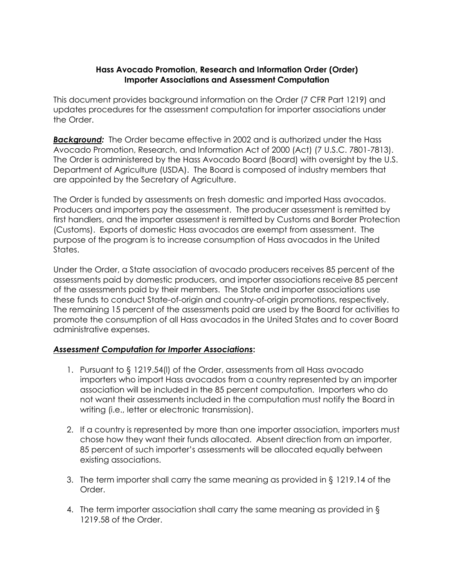## **Hass Avocado Promotion, Research and Information Order (Order) Importer Associations and Assessment Computation**

This document provides background information on the Order (7 CFR Part 1219) and updates procedures for the assessment computation for importer associations under the Order.

*Background:* The Order became effective in 2002 and is authorized under the Hass Avocado Promotion, Research, and Information Act of 2000 (Act) (7 U.S.C. 7801-7813). The Order is administered by the Hass Avocado Board (Board) with oversight by the U.S. Department of Agriculture (USDA). The Board is composed of industry members that are appointed by the Secretary of Agriculture.

The Order is funded by assessments on fresh domestic and imported Hass avocados. Producers and importers pay the assessment. The producer assessment is remitted by first handlers, and the importer assessment is remitted by Customs and Border Protection (Customs). Exports of domestic Hass avocados are exempt from assessment. The purpose of the program is to increase consumption of Hass avocados in the United States.

Under the Order, a State association of avocado producers receives 85 percent of the assessments paid by domestic producers, and importer associations receive 85 percent of the assessments paid by their members. The State and importer associations use these funds to conduct State-of-origin and country-of-origin promotions, respectively. The remaining 15 percent of the assessments paid are used by the Board for activities to promote the consumption of all Hass avocados in the United States and to cover Board administrative expenses.

## *Assessment Computation for Importer Associations***:**

- 1. Pursuant to § 1219.54(l) of the Order, assessments from all Hass avocado importers who import Hass avocados from a country represented by an importer association will be included in the 85 percent computation. Importers who do not want their assessments included in the computation must notify the Board in writing (i.e., letter or electronic transmission).
- 2. If a country is represented by more than one importer association, importers must chose how they want their funds allocated. Absent direction from an importer, 85 percent of such importer's assessments will be allocated equally between existing associations.
- 3. The term importer shall carry the same meaning as provided in § 1219.14 of the Order.
- 4. The term importer association shall carry the same meaning as provided in § 1219.58 of the Order.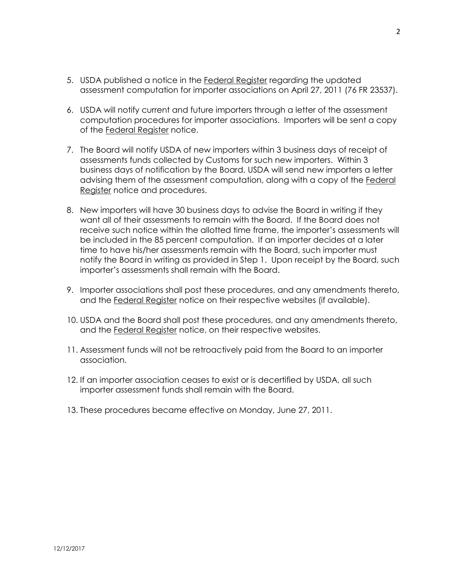- 5. USDA published a notice in the Federal Register regarding the updated assessment computation for importer associations on April 27, 2011 (76 FR 23537).
- 6. USDA will notify current and future importers through a letter of the assessment computation procedures for importer associations. Importers will be sent a copy of the Federal Register notice.
- 7. The Board will notify USDA of new importers within 3 business days of receipt of assessments funds collected by Customs for such new importers. Within 3 business days of notification by the Board, USDA will send new importers a letter advising them of the assessment computation, along with a copy of the Federal Register notice and procedures.
- 8. New importers will have 30 business days to advise the Board in writing if they want all of their assessments to remain with the Board. If the Board does not receive such notice within the allotted time frame, the importer's assessments will be included in the 85 percent computation. If an importer decides at a later time to have his/her assessments remain with the Board, such importer must notify the Board in writing as provided in Step 1. Upon receipt by the Board, such importer's assessments shall remain with the Board.
- 9. Importer associations shall post these procedures, and any amendments thereto, and the Federal Register notice on their respective websites (if available).
- 10. USDA and the Board shall post these procedures, and any amendments thereto, and the Federal Register notice, on their respective websites.
- 11. Assessment funds will not be retroactively paid from the Board to an importer association.
- 12. If an importer association ceases to exist or is decertified by USDA, all such importer assessment funds shall remain with the Board.
- 13. These procedures became effective on Monday, June 27, 2011.